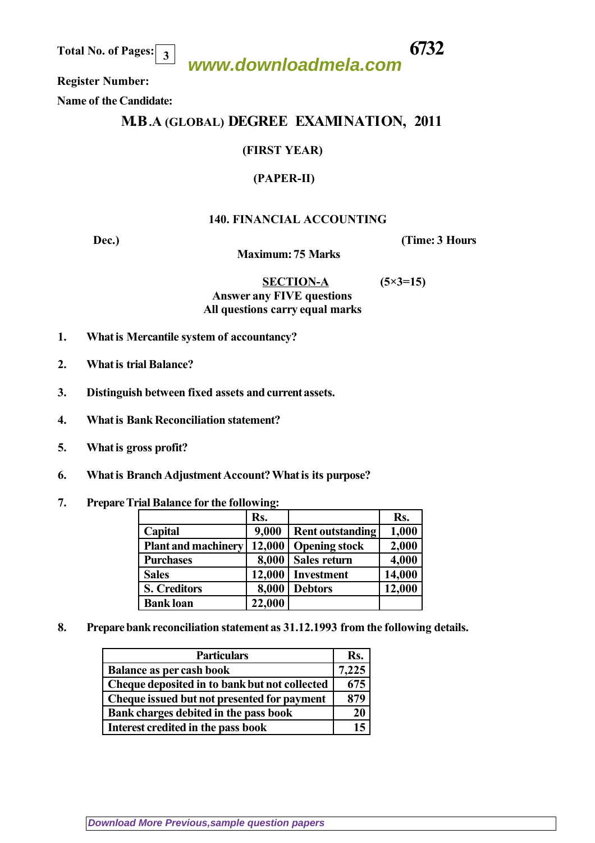**Total No. of Pages: 6732 3**

## **www.downloadmela.com**

 **Register Number:** 

 **Name of the Candidate:**

### **M.B.A (GLOBAL) DEGREE EXAMINATION, 2011**

#### **(FIRST YEAR)**

#### **(PAPER-II)**

#### **140. FINANCIAL ACCOUNTING**

**Dec.**) (Time: 3 Hours

 **Maximum: 75 Marks** 

 **SECTION-A (5×3=15)** *Answer any FIVE questions All questions carry equal marks*

- 
- **1. What is Mercantile system of accountancy?**
- **2. What is trial Balance?**
- **3. Distinguish between fixed assets and current assets.**
- **4. What is Bank Reconciliation statement?**
- **5. What is gross profit?**
- **6. What is Branch Adjustment Account? What is its purpose?**
- **7. Prepare Trial Balance for the following:**

|                            | Rs.    |                         | Rs.    |
|----------------------------|--------|-------------------------|--------|
| Capital                    | 9,000  | <b>Rent outstanding</b> | 1,000  |
| <b>Plant and machinery</b> | 12,000 | <b>Opening stock</b>    | 2,000  |
| <b>Purchases</b>           | 8,000  | Sales return            | 4,000  |
| <b>Sales</b>               | 12,000 | <b>Investment</b>       | 14,000 |
| <b>S. Creditors</b>        | 8,000  | <b>Debtors</b>          | 12,000 |
| <b>Bank loan</b>           | 22,000 |                         |        |

**8. Prepare bank reconciliation statement as 31.12.1993 from the following details.**

| <b>Particulars</b>                            | Rs.   |
|-----------------------------------------------|-------|
| <b>Balance as per cash book</b>               | 7,225 |
| Cheque deposited in to bank but not collected | 675   |
| Cheque issued but not presented for payment   | 879   |
| Bank charges debited in the pass book         | 20    |
| Interest credited in the pass book            |       |

**[Download More Previous,sample question papers](http://downloadmela.com/pages/previouspapers/previouspapers.html)**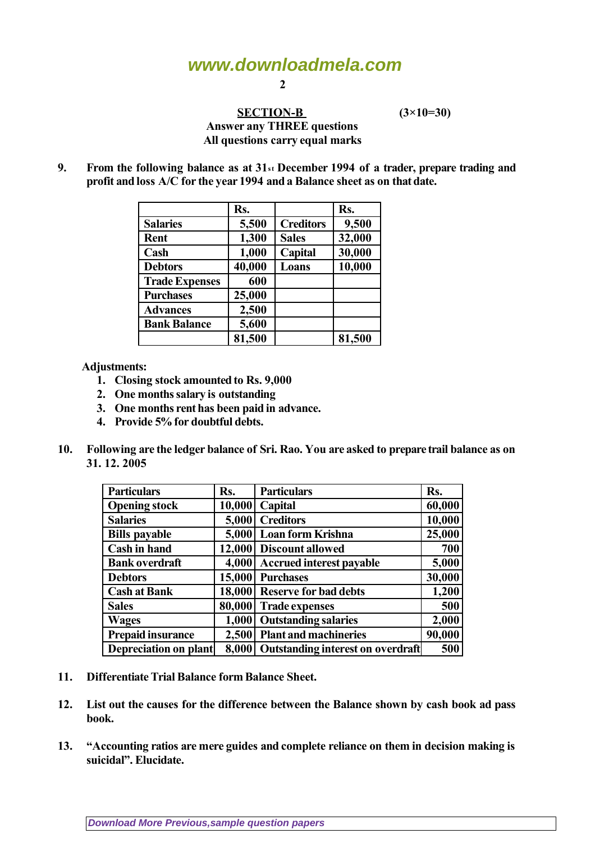# **www.downloadmela.com**

**2**

#### **SECTION-B** (3×10=30) *Answer any THREE questions All questions carry equal marks*

**9. From the following balance as at 31st December 1994 of a trader, prepare trading and profit and loss A/C for the year 1994 and a Balance sheet as on that date.**

|                       | Rs.    |                  | Rs.    |
|-----------------------|--------|------------------|--------|
| <b>Salaries</b>       | 5,500  | <b>Creditors</b> | 9,500  |
| Rent                  | 1,300  | <b>Sales</b>     | 32,000 |
| Cash                  | 1,000  | Capital          | 30,000 |
| <b>Debtors</b>        | 40,000 | Loans            | 10,000 |
| <b>Trade Expenses</b> | 600    |                  |        |
| <b>Purchases</b>      | 25,000 |                  |        |
| <b>Advances</b>       | 2,500  |                  |        |
| <b>Bank Balance</b>   | 5,600  |                  |        |
|                       | 81,500 |                  | 81,500 |

 **Adjustments:**

- **1. Closing stock amounted to Rs. 9,000**
- **2. One months salary is outstanding**
- **3. One months rent has been paid in advance.**
- **4. Provide 5% for doubtful debts.**
- **10. Following are the ledger balance of Sri. Rao. You are asked to prepare trail balance as on 31. 12. 2005**

| <b>Particulars</b>       |        | <b>Particulars</b>                      | Rs.    |
|--------------------------|--------|-----------------------------------------|--------|
|                          | Rs.    |                                         |        |
| <b>Opening stock</b>     | 10,000 | Capital                                 | 60,000 |
| <b>Salaries</b>          | 5,000  | <b>Creditors</b>                        | 10,000 |
| <b>Bills payable</b>     | 5,000  | Loan form Krishna                       | 25,000 |
| Cash in hand             | 12,000 | <b>Discount allowed</b>                 | 700    |
| <b>Bank overdraft</b>    | 4,000  | <b>Accrued interest payable</b>         | 5,000  |
| <b>Debtors</b>           | 15,000 | <b>Purchases</b>                        | 30,000 |
| <b>Cash at Bank</b>      | 18,000 | <b>Reserve for bad debts</b>            | 1,200  |
| <b>Sales</b>             | 80,000 | <b>Trade expenses</b>                   | 500    |
| <b>Wages</b>             | 1,000  | <b>Outstanding salaries</b>             | 2,000  |
| <b>Prepaid insurance</b> | 2,500  | <b>Plant and machineries</b>            | 90,000 |
| Depreciation on plant    |        | 8,000 Outstanding interest on overdraft | 500    |

- **11. Differentiate Trial Balance form Balance Sheet.**
- **12. List out the causes for the difference between the Balance shown by cash book ad pass book.**
- **13. "Accounting ratios are mere guides and complete reliance on them in decision making is suicidal". Elucidate.**